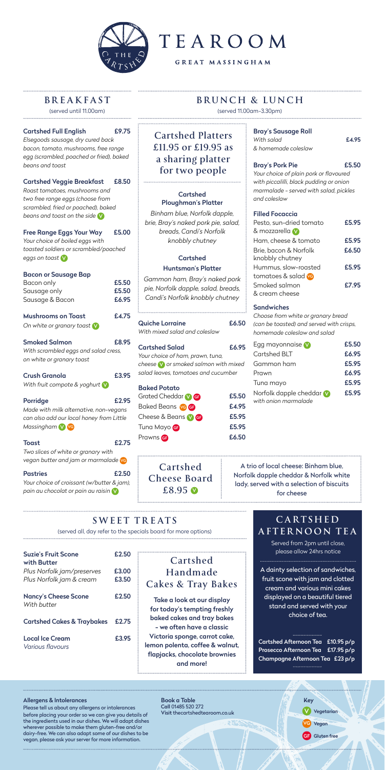

# TEAROOM

**GREAT MASSINGHAM** 

# **BREAKFAST**

# **SWEET TREATS**

# **BRUNCH & LUNCH**

### Cartshed Full English £9.75

*Elsegoods sausage, dry cured back bacon, tomato, mushrooms, free range egg (scrambled, poached or fried), baked beans and toast*

### Cartshed Veggie Breakfast £8.50

*Roast tomatoes, mushrooms and two free range eggs (choose from scrambled, fried or poached), baked beans and toast on the side* V

### Free Range Eggs Your Way £5.00

*Your choice of boiled eggs with toasted soldiers or scrambled/poached eggs on toast* V

# Bacon or Sausage Bap

Nancy's Cheese Scone £2.50 *With butter*

| Bacon only                               | £5.50 |
|------------------------------------------|-------|
| Sausage only                             | £5.50 |
| Sausage & Bacon                          | £6.95 |
| <b>Mushrooms on Toast</b>                | £4.75 |
| On white or granary toast V              |       |
| <b>Smoked Salmon</b>                     | £8.95 |
| With scrambled eggs and salad cress,     |       |
| on white or granary toast                |       |
| Crush Granola                            | £3.95 |
| With fruit compote & yoghurt $\vee$      |       |
| Porridge                                 | £2.95 |
| Made with milk alternative, non-vegans   |       |
| can also add our local honey from Little |       |
| Massingham V ve                          |       |
| <b>Toast</b>                             | £2.75 |
| Two slices of white or granary with      |       |
|                                          |       |

Book a Table Call 01485 520 272 Visit thecartshedtearoom.co.uk Vegetarian

*vegan butter and jam or marmalade* VG

# Pastries **£2.50**

*Your choice of croissant (w/butter & jam), pain au chocolat or pain au raisin* V

# Suzie's Fruit Scone £2.50 with Butter

*Plus Norfolk jam/preserves* £3.00 *Plus Norfolk jam & cream* £3.50

Cartshed Cakes & Traybakes £2.75

Local Ice Cream £3.95 *Various flavours*

#### Allergens & Intolerances

Please tell us about any allergens or intolerances before placing your order so we can give you details of the ingredients used in our dishes. We will adapt dishes wherever possible to make them gluten-free and/or dairy-free. We can also adapt some of our dishes to be vegan, please ask your server for more information.

| <b>Quiche Lorraine</b>        | £6.50 |
|-------------------------------|-------|
| With mixed salad and coleslaw |       |

**Cartshed Cheese Board £8.95 ©** 

Cartshed Salad £6.95 *Your choice of ham, prawn, tuna, cheese* V *or smoked salmon with mixed salad leaves, tomatoes and cucumber*

| <b>Baked Potato</b>     |
|-------------------------|
| Grated Cheddar <b>M</b> |
| Baked Beans <b>ve G</b> |
| Cheese & Beans MG       |
| Tuna Mayo <sup>G</sup>  |
| Prawns <b>G</b>         |

#### Bray's Sausage Roll *With salad* £4.95

*& homemade coleslaw*

Bray's Pork Pie £5.50

*Your choice of plain pork or flavoured with piccalilli, black pudding or onion marmalade - served with salad, pickles and coleslaw*

# Filled Focaccia

| Pesto, sun-dried tomato                  | £5.95 |
|------------------------------------------|-------|
| & mozzarella v                           |       |
| Ham, cheese & tomato                     | £5.95 |
| Brie, bacon & Norfolk<br>knobbly chutney | £6.50 |
| Hummus, slow-roasted                     | £5.95 |
| tomatoes & salad ve                      |       |
| Smoked salmon                            | £7.95 |
| & cream cheese                           |       |

# **Sandwiches**

 $E5.50$ £4.95 £5.95 £5.95 £6.50 *Choose from white or granary bread (can be toasted) and served with crisps, homemade coleslaw and salad*

| £5.50 |
|-------|
| £6.95 |
| £5.95 |
| £6.95 |
| £5.95 |
| £5.95 |
|       |

(served until 11.00am)

(served all, day refer to the specials board for more options)

(served 11.00am-3.30pm)



# **Cartshed Platters £11.95 or £19.95 as a sharing platter for two people**

# Cartshed Ploughman's Platter

*Binham blue, Norfolk dapple, brie, Bray's naked pork pie, salad, breads, Candi's Norfolk knobbly chutney*

# Cartshed

# Huntsman's Platter

*Gammon ham, Bray's naked pork pie, Norfolk dapple, salad, breads, Candi's Norfolk knobbly chutney*

Take a look at our display for today's tempting freshly baked cakes and tray bakes - we often have a classic Victoria sponge, carrot cake, lemon polenta, coffee & walnut, flapjacks, chocolate brownies and more!

A trio of local cheese: Binham blue, Norfolk dapple cheddar & Norfolk white lady, served with a selection of biscuits for cheese

# **CARTSHED AFTERNOON TEA**

**Cartshed Handmade** 

**Cakes & Tray Bakes**

A dainty selection of sandwiches, fruit scone with jam and clotted cream and various mini cakes displayed on a beautiful tiered stand and served with your choice of tea.

Served from 2pm until close, please allow 24hrs notice

Cartshed Afternoon Tea £10.95 p/p Prosecco Afternoon Tea £17.95 p/p Champagne Afternoon Tea £23 p/p

....................